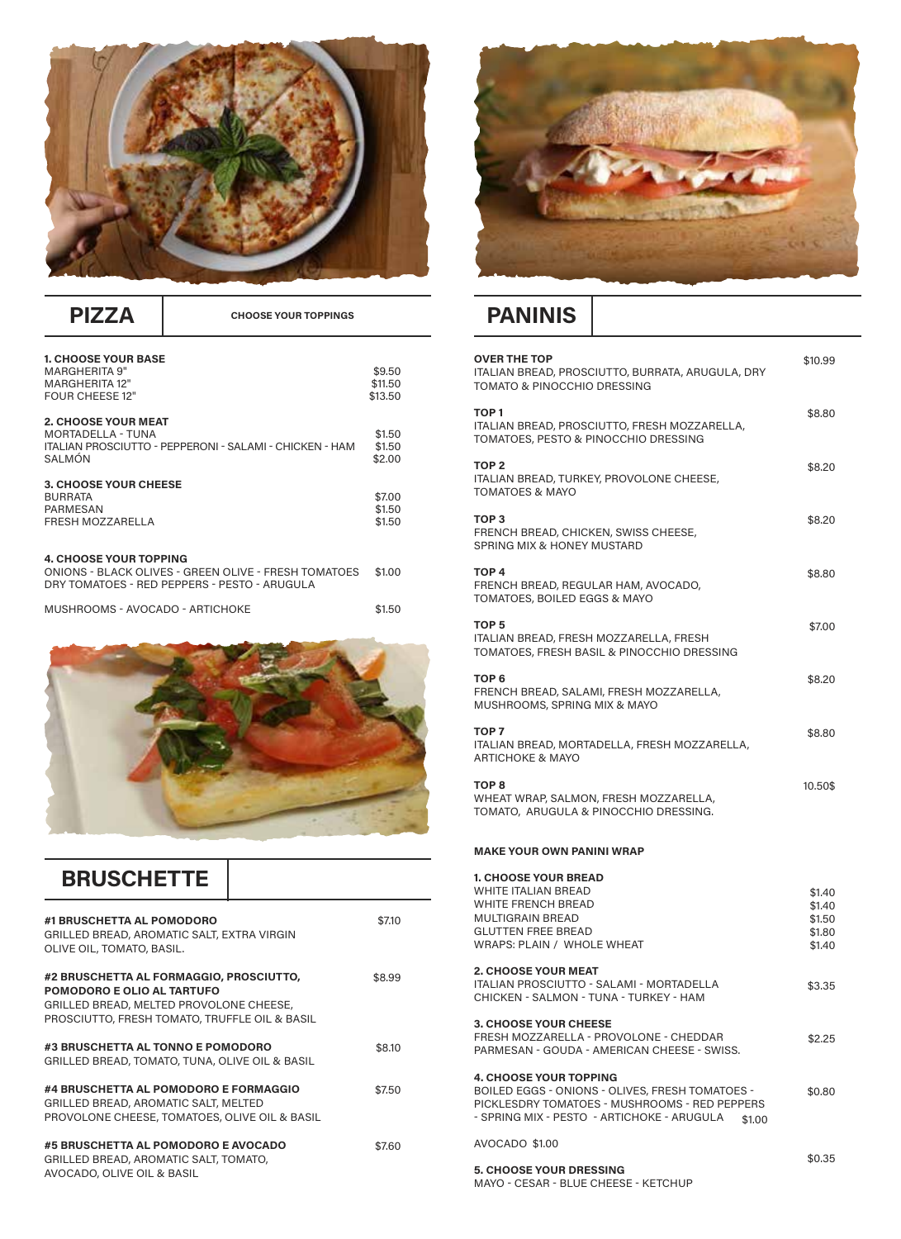

| <b>1. CHOOSE YOUR BASE</b>                              |         |
|---------------------------------------------------------|---------|
| <b>MARGHERITA 9"</b>                                    | \$9.50  |
| <b>MARGHERITA 12"</b>                                   | \$11.50 |
| <b>FOUR CHEESE 12"</b>                                  | \$13.50 |
| <b>2. CHOOSE YOUR MEAT</b>                              |         |
| MORTADELLA - TUNA                                       | \$1.50  |
| ITALIAN PROSCIUTTO - PEPPERONI - SALAMI - CHICKEN - HAM | \$1.50  |
| SAI MÓN                                                 | \$2.00  |
|                                                         |         |
| 3. CHOOSE YOUR CHEESE                                   |         |
| <b>BURRATA</b>                                          | \$7.00  |
| PARMESAN                                                | \$1.50  |
| FRESH MOZZARELLA                                        | \$1.50  |
|                                                         |         |
|                                                         |         |
| <b>4. CHOOSE YOUR TOPPING</b>                           |         |
| ONIONS - BLACK OLIVES - GREEN OLIVE - FRESH TOMATOES    | \$1.00  |
| DRY TOMATOES - RED PEPPERS - PESTO - ARUGULA            |         |
|                                                         |         |
| MUSHROOMS - AVOCADO - ARTICHOKE                         | \$1.50  |



| <b>BRUSCHETTE</b>                                                                                                                                                 |        |
|-------------------------------------------------------------------------------------------------------------------------------------------------------------------|--------|
| #1 BRUSCHETTA AL POMODORO<br>GRILLED BREAD, AROMATIC SALT, EXTRA VIRGIN<br>OLIVE OIL, TOMATO, BASIL.                                                              | \$7.10 |
| #2 BRUSCHETTA AL FORMAGGIO, PROSCIUTTO,<br>POMODORO E OLIO AL TARTUFO<br>GRILLED BREAD, MELTED PROVOLONE CHEESE,<br>PROSCIUTTO, FRESH TOMATO, TRUFFLE OIL & BASIL | \$8.99 |
| #3 BRUSCHETTA AL TONNO E POMODORO<br>GRILLED BREAD, TOMATO, TUNA, OLIVE OIL & BASIL                                                                               | \$8.10 |
| #4 BRUSCHETTA AL POMODORO E FORMAGGIO<br>GRILLED BREAD, AROMATIC SALT, MELTED<br>PROVOLONE CHEESE, TOMATOES, OLIVE OIL & BASIL                                    | \$7.50 |
| #5 BRUSCHETTA AL POMODORO E AVOCADO<br>GRILLED BREAD, AROMATIC SALT, TOMATO,<br>AVOCADO, OLIVE OIL & BASIL                                                        | \$7.60 |



## **PIZZA CHOOSE YOUR TOPPINGS PANINIS**

| <b>OVER THE TOP</b><br>ITALIAN BREAD, PROSCIUTTO, BURRATA, ARUGULA, DRY<br>TOMATO & PINOCCHIO DRESSING                                                                                    | \$10.99                                        |
|-------------------------------------------------------------------------------------------------------------------------------------------------------------------------------------------|------------------------------------------------|
| TOP <sub>1</sub><br>ITALIAN BREAD, PROSCIUTTO, FRESH MOZZARELLA,<br>TOMATOES, PESTO & PINOCCHIO DRESSING                                                                                  | \$8.80                                         |
| TOP <sub>2</sub><br>ITALIAN BREAD, TURKEY, PROVOLONE CHEESE,<br><b>TOMATOES &amp; MAYO</b>                                                                                                | \$8.20                                         |
| TOP <sub>3</sub><br>FRENCH BREAD, CHICKEN, SWISS CHEESE,<br>SPRING MIX & HONEY MUSTARD                                                                                                    | \$8.20                                         |
| TOP <sub>4</sub><br>FRENCH BREAD, REGULAR HAM, AVOCADO,<br>TOMATOES, BOILED EGGS & MAYO                                                                                                   | \$8.80                                         |
| TOP <sub>5</sub><br>ITALIAN BREAD, FRESH MOZZARELLA, FRESH<br>TOMATOES, FRESH BASIL & PINOCCHIO DRESSING                                                                                  | \$7.00                                         |
| TOP 6<br>FRENCH BREAD, SALAMI, FRESH MOZZARELLA,<br>MUSHROOMS, SPRING MIX & MAYO                                                                                                          | \$8.20                                         |
| TOP <sub>7</sub><br>ITALIAN BREAD, MORTADELLA, FRESH MOZZARELLA,<br>ARTICHOKE & MAYO                                                                                                      | \$8.80                                         |
|                                                                                                                                                                                           |                                                |
| TOP <sub>8</sub><br>WHEAT WRAP, SALMON, FRESH MOZZARELLA,<br>TOMATO, ARUGULA & PINOCCHIO DRESSING.                                                                                        | 10.50\$                                        |
| <b>MAKE YOUR OWN PANINI WRAP</b>                                                                                                                                                          |                                                |
| <b>1. CHOOSE YOUR BREAD</b><br>WHITE ITALIAN BREAD<br><b>WHITE FRENCH BREAD</b><br><b>MULTIGRAIN BREAD</b><br><b>GLUTTEN FREE BREAD</b><br>WRAPS: PLAIN / WHOLE WHEAT                     | \$1.40<br>\$1.40<br>\$1.50<br>\$1.80<br>\$1.40 |
| <b>2. CHOOSE YOUR MEAT</b><br>ITALIAN PROSCIUTTO - SALAMI - MORTADELLA<br>CHICKEN - SALMON - TUNA - TURKEY - HAM                                                                          | \$3.35                                         |
| <b>3. CHOOSE YOUR CHEESE</b><br>FRESH MOZZARELLA - PROVOLONE - CHEDDAR<br>PARMESAN - GOUDA - AMERICAN CHEESE - SWISS.                                                                     | \$2.25                                         |
| <b>4. CHOOSE YOUR TOPPING</b><br>BOILED EGGS - ONIONS - OLIVES, FRESH TOMATOES -<br>PICKLESDRY TOMATOES - MUSHROOMS - RED PEPPERS<br>- SPRING MIX - PESTO - ARTICHOKE - ARUGULA<br>\$1.00 | \$0.80                                         |
| AVOCADO \$1.00                                                                                                                                                                            | \$0.35                                         |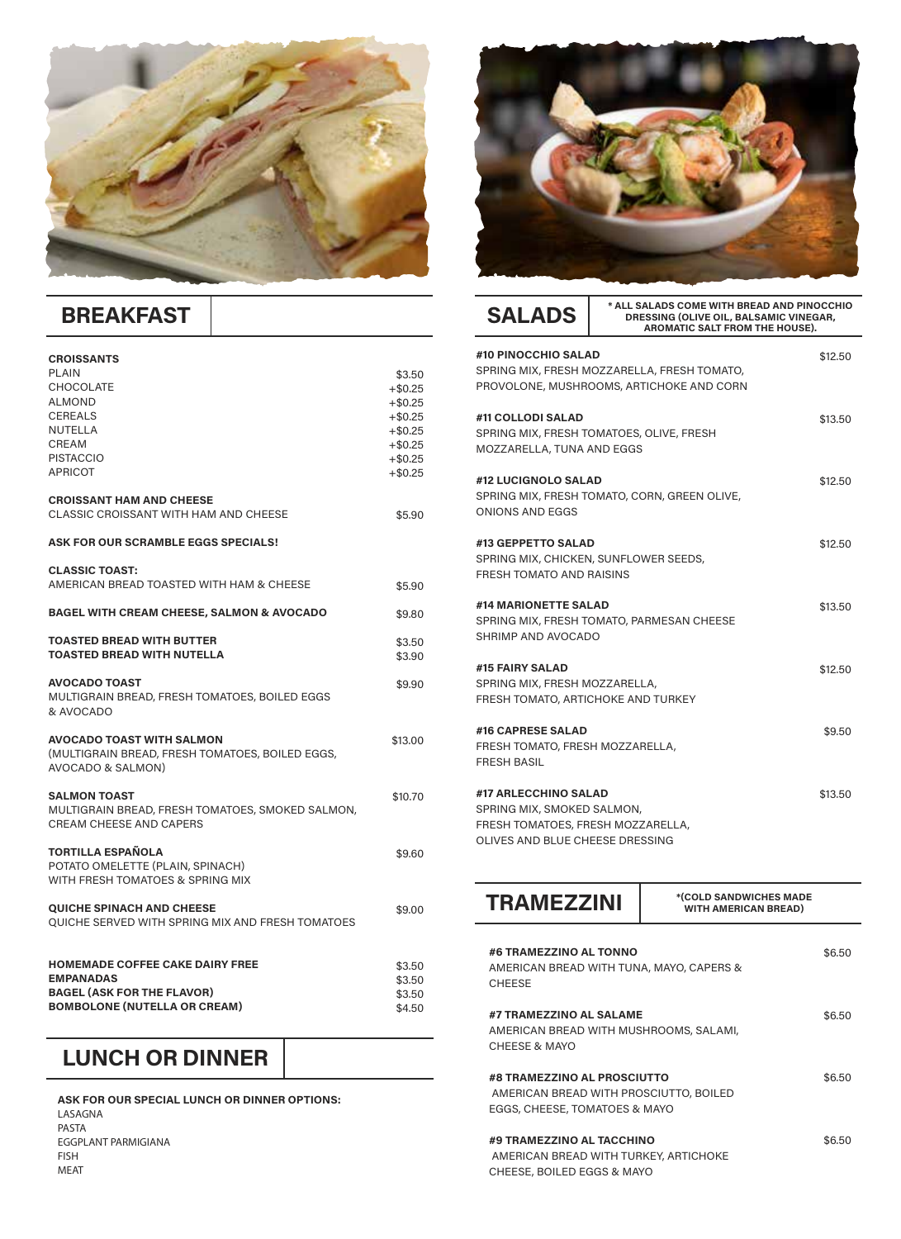

# **BREAKFAST**

| <b>CROISSANTS</b><br><b>PLAIN</b><br><b>CHOCOLATE</b><br><b>ALMOND</b><br><b>CEREALS</b><br><b>NUTELLA</b><br>CREAM<br><b>PISTACCIO</b><br><b>APRICOT</b> | \$3.50<br>$+ $0.25$<br>$+ $0.25$<br>$+ $0.25$<br>$+$ \$0.25<br>$+ $0.25$<br>$+$ \$0.25<br>$+$ \$0.25 |
|-----------------------------------------------------------------------------------------------------------------------------------------------------------|------------------------------------------------------------------------------------------------------|
| <b>CROISSANT HAM AND CHEESE</b><br>CLASSIC CROISSANT WITH HAM AND CHEESE                                                                                  | \$5,90                                                                                               |
| ASK FOR OUR SCRAMBLE EGGS SPECIALS!                                                                                                                       |                                                                                                      |
| <b>CLASSIC TOAST:</b><br>AMERICAN BREAD TOASTED WITH HAM & CHEESE                                                                                         | \$5.90                                                                                               |
| <b>BAGEL WITH CREAM CHEESE, SALMON &amp; AVOCADO</b>                                                                                                      | \$9,80                                                                                               |
| <b>TOASTED BREAD WITH BUTTER</b><br><b>TOASTED BREAD WITH NUTELLA</b>                                                                                     | \$3.50<br>\$3.90                                                                                     |
| <b>AVOCADO TOAST</b><br>MULTIGRAIN BREAD, FRESH TOMATOES, BOILED EGGS<br>& AVOCADO                                                                        | \$9.90                                                                                               |
| <b>AVOCADO TOAST WITH SALMON</b><br>(MULTIGRAIN BREAD, FRESH TOMATOES, BOILED EGGS,<br>AVOCADO & SALMON)                                                  | \$13.00                                                                                              |
| <b>SALMON TOAST</b><br>MULTIGRAIN BREAD, FRESH TOMATOES, SMOKED SALMON,<br>CREAM CHEESE AND CAPERS                                                        | \$10.70                                                                                              |
| <b>TORTILLA ESPAÑOLA</b><br>POTATO OMELETTE (PLAIN, SPINACH)<br>WITH FRESH TOMATOES & SPRING MIX                                                          | \$9.60                                                                                               |
| <b>QUICHE SPINACH AND CHEESE</b><br>QUICHE SERVED WITH SPRING MIX AND FRESH TOMATOES                                                                      | \$9.00                                                                                               |
| <b>HOMEMADE COFFEE CAKE DAIRY FREE</b><br><b>EMPANADAS</b><br><b>BAGEL (ASK FOR THE FLAVOR)</b><br><b>BOMBOLONE (NUTELLA OR CREAM)</b>                    | \$3.50<br>\$3.50<br>\$3.50<br>\$4.50                                                                 |

#### **LUNCH OR DINNER**

**ASK FOR OUR SPECIAL LUNCH OR DINNER OPTIONS:** LASAGNA PASTA EGGPLANT PARMIGIANA FISH MEAT



| <b>SALADS</b>                                                                                                              | * ALL SALADS COME WITH BREAD AND PINOCCHIO<br><b>DRESSING (OLIVE OIL, BALSAMIC VINEGAR,</b><br><b>AROMATIC SALT FROM THE HOUSE).</b> |         |
|----------------------------------------------------------------------------------------------------------------------------|--------------------------------------------------------------------------------------------------------------------------------------|---------|
| #10 PINOCCHIO SALAD                                                                                                        | SPRING MIX, FRESH MOZZARELLA, FRESH TOMATO,<br>PROVOLONE, MUSHROOMS, ARTICHOKE AND CORN                                              | \$12.50 |
| #11 COLLODI SALAD<br>MOZZARELLA, TUNA AND EGGS                                                                             | SPRING MIX, FRESH TOMATOES, OLIVE, FRESH                                                                                             | \$13.50 |
| #12 LUCIGNOLO SALAD<br>ONIONS AND EGGS                                                                                     | SPRING MIX, FRESH TOMATO, CORN, GREEN OLIVE,                                                                                         | \$12.50 |
| #13 GEPPETTO SALAD<br><b>FRESH TOMATO AND RAISINS</b>                                                                      | SPRING MIX, CHICKEN, SUNFLOWER SEEDS,                                                                                                | \$12.50 |
| #14 MARIONETTE SALAD<br>SHRIMP AND AVOCADO                                                                                 | SPRING MIX, FRESH TOMATO, PARMESAN CHEESE                                                                                            | \$13.50 |
| #15 FAIRY SALAD<br>SPRING MIX, FRESH MOZZARELLA,<br>FRESH TOMATO, ARTICHOKE AND TURKEY                                     |                                                                                                                                      | \$12.50 |
| #16 CAPRESE SALAD<br>FRESH TOMATO, FRESH MOZZARELLA,<br><b>FRESH BASIL</b>                                                 |                                                                                                                                      | \$9.50  |
| #17 ARLECCHINO SALAD<br>SPRING MIX, SMOKED SALMON,<br>FRESH TOMATOES, FRESH MOZZARELLA,<br>OLIVES AND BLUE CHEESE DRESSING |                                                                                                                                      | \$13.50 |

| <b>TRAMEZZINI</b>                                                                                      | *(COLD SANDWICHES MADE<br><b>WITH AMERICAN BREAD)</b> |        |
|--------------------------------------------------------------------------------------------------------|-------------------------------------------------------|--------|
| #6 TRAMEZZINO AL TONNO<br>AMERICAN BREAD WITH TUNA, MAYO, CAPERS &<br><b>CHEESE</b>                    |                                                       | \$6.50 |
| #7 TRAMEZZINO AL SALAME<br>AMERICAN BREAD WITH MUSHROOMS, SALAMI,<br>CHEESE & MAYO                     |                                                       | \$6.50 |
| #8 TRAMEZZINO AL PROSCIUTTO<br>AMERICAN BREAD WITH PROSCIUTTO, BOILED<br>EGGS, CHEESE, TOMATOES & MAYO |                                                       | \$6.50 |
| #9 TRAMEZZINO AL TACCHINO<br>AMERICAN BREAD WITH TURKEY, ARTICHOKE<br>CHEESE, BOILED EGGS & MAYO       |                                                       | \$6.50 |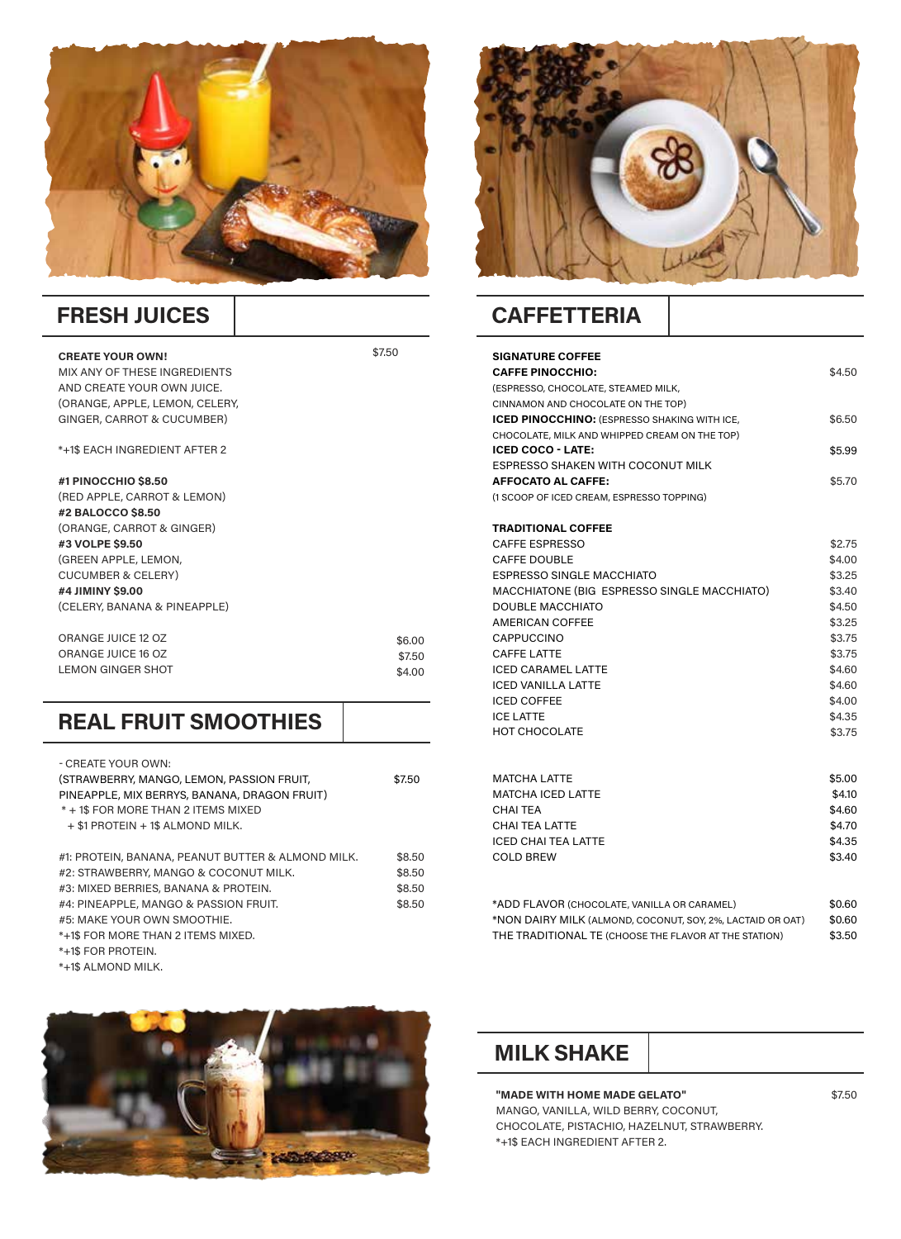

#### **FRESH JUICES**

#### **CREATE YOUR OWN!**

MIX ANY OF THESE INGREDIENTS AND CREATE YOUR OWN JUICE. (ORANGE, APPLE, LEMON, CELERY, GINGER, CARROT & CUCUMBER)

\*+1\$ EACH INGREDIENT AFTER 2

#### **#1 PINOCCHIO \$8.50**

(RED APPLE, CARROT & LEMON) **#2 BALOCCO \$8.50** (ORANGE, CARROT & GINGER) **#3 VOLPE \$9.50** (GREEN APPLE, LEMON, CUCUMBER & CELERY) **#4 JIMINY \$9.00**  (CELERY, BANANA & PINEAPPLE)

| ORANGE JUICE 12 OZ | \$6.00 |
|--------------------|--------|
| ORANGE JUICE 16 OZ | \$7.50 |
| LEMON GINGER SHOT  | \$4.00 |

### **REAL FRUIT SMOOTHIES**

| - CREATE YOUR OWN:                                                                     |        |
|----------------------------------------------------------------------------------------|--------|
| (STRAWBERRY, MANGO, LEMON, PASSION FRUIT,                                              | \$7.50 |
| PINEAPPLE, MIX BERRYS, BANANA, DRAGON FRUIT)                                           |        |
| * + 1\$ FOR MORE THAN 2 ITEMS MIXED                                                    |        |
| $+$ \$1 PROTEIN $+$ 1\$ ALMOND MILK.                                                   |        |
|                                                                                        |        |
| #1: PROTEIN, BANANA, PEANUT BUTTER & ALMOND MILK.                                      | \$8.50 |
| #2: STRAWBERRY, MANGO & COCONUT MILK.                                                  | \$8.50 |
| #3: MIXED BERRIES, BANANA & PROTEIN.                                                   | \$8.50 |
| #4: PINEAPPLE, MANGO & PASSION FRUIT.                                                  | \$8.50 |
| #5: MAKE YOUR OWN SMOOTHIE.                                                            |        |
| *+1\$ FOR MORE THAN 2 ITEMS MIXED.                                                     |        |
| *+1\$ FOR PROTEIN.                                                                     |        |
| $*$ $10$ $\Lambda$ $1$ $M$ $\Lambda$ $\Lambda$ $\Lambda$ $\Lambda$ $\Lambda$ $\Lambda$ |        |

\*+1\$ ALMOND MILK.





## **CAFFETTERIA**

\$7.50

| <b>SIGNATURE COFFEE</b><br><b>CAFFE PINOCCHIO:</b><br>(ESPRESSO, CHOCOLATE, STEAMED MILK,<br>CINNAMON AND CHOCOLATE ON THE TOP) | \$4.50 |
|---------------------------------------------------------------------------------------------------------------------------------|--------|
| <b>ICED PINOCCHINO:</b> (ESPRESSO SHAKING WITH ICE.<br>CHOCOLATE, MILK AND WHIPPED CREAM ON THE TOP)                            | \$6.50 |
| <b>ICED COCO - LATE:</b>                                                                                                        | \$5.99 |
| <b>ESPRESSO SHAKEN WITH COCONUT MILK</b>                                                                                        |        |
| <b>AFFOCATO AL CAFFE:</b>                                                                                                       | \$5.70 |
| (1 SCOOP OF ICED CREAM, ESPRESSO TOPPING)                                                                                       |        |
|                                                                                                                                 |        |
| <b>TRADITIONAL COFFEE</b><br><b>CAFFE ESPRESSO</b>                                                                              | \$2.75 |
| CAFFE DOUBLE                                                                                                                    | \$4.00 |
| <b>ESPRESSO SINGLE MACCHIATO</b>                                                                                                | \$3.25 |
| MACCHIATONE (BIG ESPRESSO SINGLE MACCHIATO)                                                                                     | \$3.40 |
| <b>DOUBLE MACCHIATO</b>                                                                                                         | \$4.50 |
| <b>AMERICAN COFFEE</b>                                                                                                          | \$3.25 |
| CAPPUCCINO                                                                                                                      | \$3.75 |
| <b>CAFFE LATTE</b>                                                                                                              | \$3.75 |
| <b>ICED CARAMEL LATTE</b>                                                                                                       | \$4.60 |
| <b>ICED VANILLA LATTE</b>                                                                                                       | \$4.60 |
| <b>ICED COFFEE</b>                                                                                                              | \$4.00 |
| <b>ICE LATTE</b>                                                                                                                | \$4.35 |
| <b>HOT CHOCOLATE</b>                                                                                                            | \$3.75 |
|                                                                                                                                 |        |
|                                                                                                                                 |        |
| MATCHA LATTE                                                                                                                    | \$5.00 |
| <b>MATCHA ICED LATTE</b>                                                                                                        | \$4.10 |
| CHAI TEA                                                                                                                        | \$4.60 |
| <b>CHAI TEA LATTE</b>                                                                                                           | \$4.70 |
| ICED CHAI TEA LATTE                                                                                                             | \$4.35 |
| COLD BREW                                                                                                                       | \$3.40 |
|                                                                                                                                 |        |

| *ADD FLAVOR (CHOCOLATE, VANILLA OR CARAMEL)                | \$0.60 |
|------------------------------------------------------------|--------|
| *NON DAIRY MILK (ALMOND, COCONUT, SOY, 2%, LACTAID OR OAT) | \$0.60 |
| THE TRADITIONAL TE (CHOOSE THE FLAVOR AT THE STATION)      | \$3.50 |

#### **MILK SHAKE**

**"MADE WITH HOME MADE GELATO"**  MANGO, VANILLA, WILD BERRY, COCONUT, CHOCOLATE, PISTACHIO, HAZELNUT, STRAWBERRY. \*+1\$ EACH INGREDIENT AFTER 2.

\$7.50